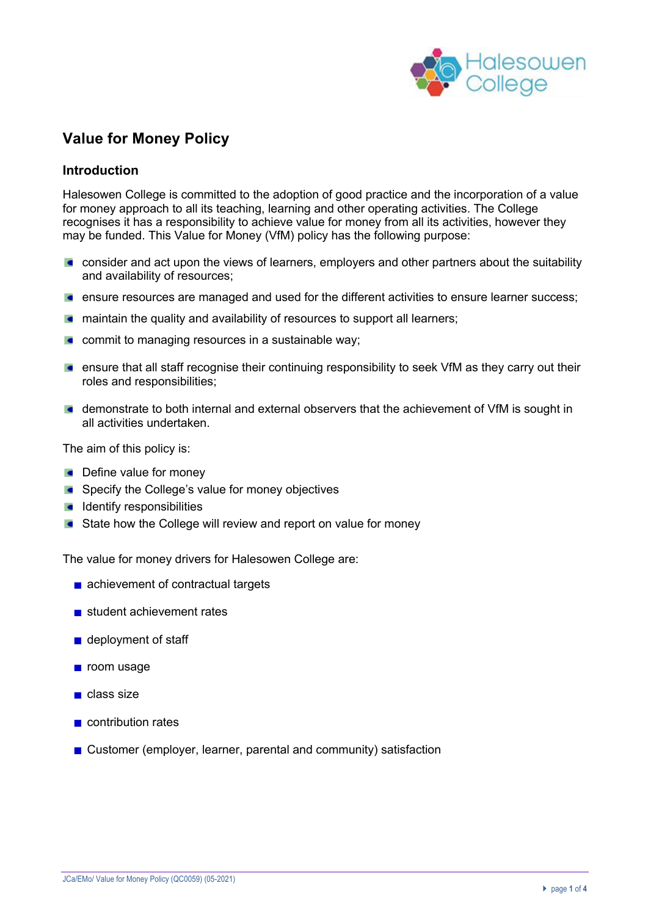

# **Value for Money Policy**

### **Introduction**

Halesowen College is committed to the adoption of good practice and the incorporation of a value for money approach to all its teaching, learning and other operating activities. The College recognises it has a responsibility to achieve value for money from all its activities, however they may be funded. This Value for Money (VfM) policy has the following purpose:

- **consider and act upon the views of learners, employers and other partners about the suitability** and availability of resources;
- **e** ensure resources are managed and used for the different activities to ensure learner success;
- **E** maintain the quality and availability of resources to support all learners;
- **commit to managing resources in a sustainable way;**
- **E** ensure that all staff recognise their continuing responsibility to seek VfM as they carry out their roles and responsibilities;
- demonstrate to both internal and external observers that the achievement of  $VfM$  is sought in all activities undertaken.

The aim of this policy is:

- **Comparison Define value for money**
- Specify the College's value for money objectives
- $\blacksquare$  Identify responsibilities
- State how the College will review and report on value for money

The value for money drivers for Halesowen College are:

- achievement of contractual targets
- student achievement rates
- deployment of staff
- **room** usage
- $\blacksquare$  class size
- **n** contribution rates
- Customer (employer, learner, parental and community) satisfaction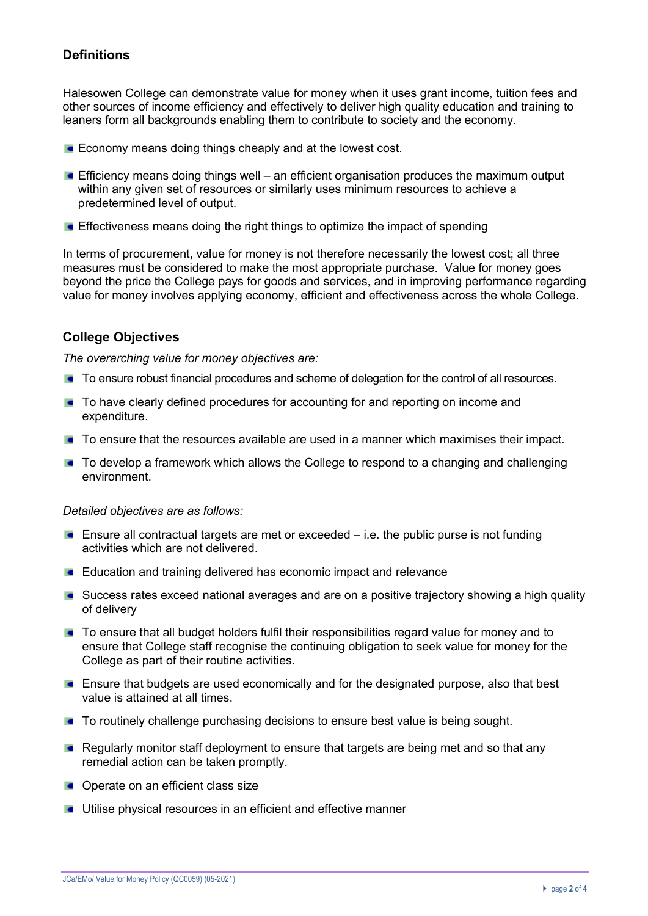# **Definitions**

Halesowen College can demonstrate value for money when it uses grant income, tuition fees and other sources of income efficiency and effectively to deliver high quality education and training to leaners form all backgrounds enabling them to contribute to society and the economy.

- **Economy means doing things cheaply and at the lowest cost.**
- **Efficiency means doing things well** an efficient organisation produces the maximum output within any given set of resources or similarly uses minimum resources to achieve a predetermined level of output.
- **Effectiveness means doing the right things to optimize the impact of spending**

In terms of procurement, value for money is not therefore necessarily the lowest cost; all three measures must be considered to make the most appropriate purchase. Value for money goes beyond the price the College pays for goods and services, and in improving performance regarding value for money involves applying economy, efficient and effectiveness across the whole College.

### **College Objectives**

*The overarching value for money objectives are:*

- **To ensure robust financial procedures and scheme of delegation for the control of all resources.**
- **To have clearly defined procedures for accounting for and reporting on income and** expenditure.
- **To ensure that the resources available are used in a manner which maximises their impact.**
- **To develop a framework which allows the College to respond to a changing and challenging** environment.

#### *Detailed objectives are as follows:*

- **E** Ensure all contractual targets are met or exceeded  $-$  i.e. the public purse is not funding activities which are not delivered.
- **Education and training delivered has economic impact and relevance**
- Success rates exceed national averages and are on a positive trajectory showing a high quality of delivery
- **To ensure that all budget holders fulfil their responsibilities regard value for money and to** ensure that College staff recognise the continuing obligation to seek value for money for the College as part of their routine activities.
- **Ensure that budgets are used economically and for the designated purpose, also that best** value is attained at all times.
- To routinely challenge purchasing decisions to ensure best value is being sought.
- **Regularly monitor staff deployment to ensure that targets are being met and so that any** remedial action can be taken promptly.
- **Operate on an efficient class size**
- **Utilise physical resources in an efficient and effective manner**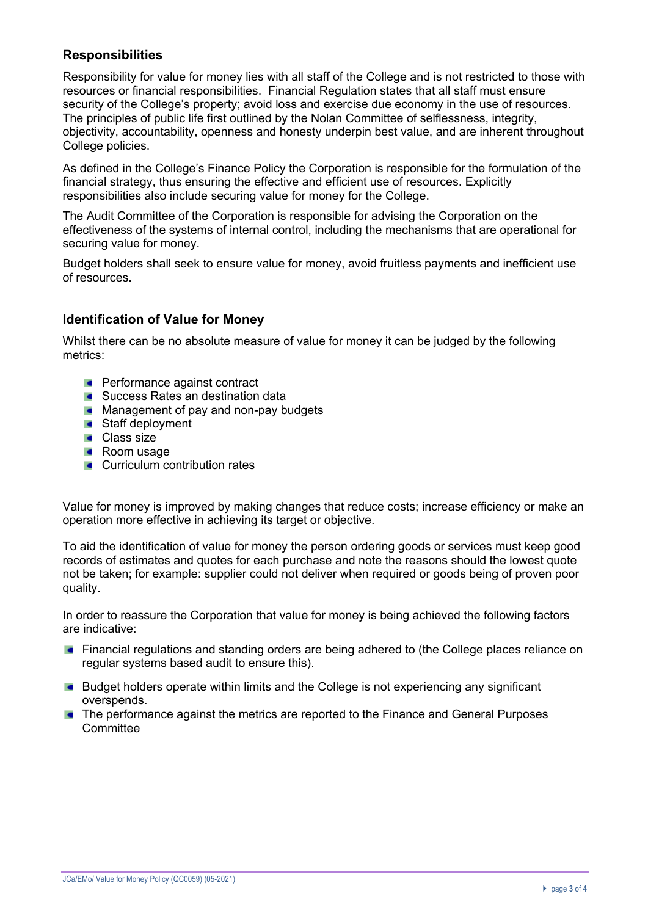# **Responsibilities**

Responsibility for value for money lies with all staff of the College and is not restricted to those with resources or financial responsibilities. Financial Regulation states that all staff must ensure security of the College's property; avoid loss and exercise due economy in the use of resources. The principles of public life first outlined by the Nolan Committee of selflessness, integrity, objectivity, accountability, openness and honesty underpin best value, and are inherent throughout College policies.

As defined in the College's Finance Policy the Corporation is responsible for the formulation of the financial strategy, thus ensuring the effective and efficient use of resources. Explicitly responsibilities also include securing value for money for the College.

The Audit Committee of the Corporation is responsible for advising the Corporation on the effectiveness of the systems of internal control, including the mechanisms that are operational for securing value for money.

Budget holders shall seek to ensure value for money, avoid fruitless payments and inefficient use of resources.

### **Identification of Value for Money**

Whilst there can be no absolute measure of value for money it can be judged by the following metrics:

- **Performance against contract**
- **Success Rates an destination data**
- **Management of pay and non-pay budgets**
- **Staff deployment**
- Class size
- Room usage
- **Curriculum contribution rates**

Value for money is improved by making changes that reduce costs; increase efficiency or make an operation more effective in achieving its target or objective.

To aid the identification of value for money the person ordering goods or services must keep good records of estimates and quotes for each purchase and note the reasons should the lowest quote not be taken; for example: supplier could not deliver when required or goods being of proven poor quality.

In order to reassure the Corporation that value for money is being achieved the following factors are indicative:

- **Financial requistions and standing orders are being adhered to (the College places reliance on** regular systems based audit to ensure this).
- **Budget holders operate within limits and the College is not experiencing any significant** overspends.
- **The performance against the metrics are reported to the Finance and General Purposes Committee**